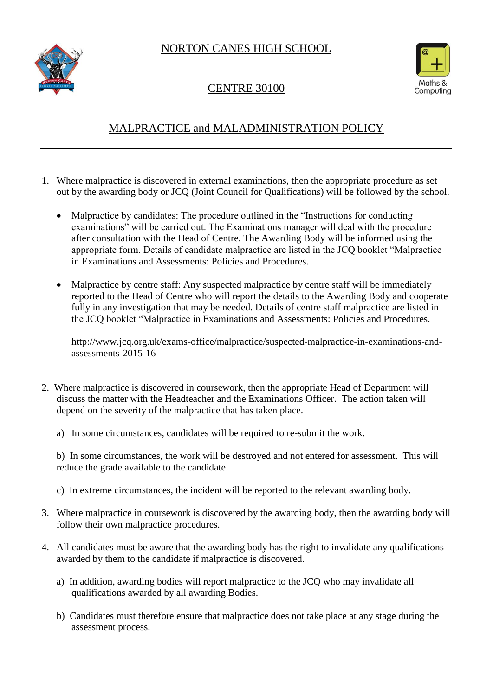NORTON CANES HIGH SCHOOL





## CENTRE 30100

## MALPRACTICE and MALADMINISTRATION POLICY

- 1. Where malpractice is discovered in external examinations, then the appropriate procedure as set out by the awarding body or JCQ (Joint Council for Qualifications) will be followed by the school.
	- Malpractice by candidates: The procedure outlined in the "Instructions for conducting examinations" will be carried out. The Examinations manager will deal with the procedure after consultation with the Head of Centre. The Awarding Body will be informed using the appropriate form. Details of candidate malpractice are listed in the JCQ booklet "Malpractice in Examinations and Assessments: Policies and Procedures.
	- Malpractice by centre staff: Any suspected malpractice by centre staff will be immediately reported to the Head of Centre who will report the details to the Awarding Body and cooperate fully in any investigation that may be needed. Details of centre staff malpractice are listed in the JCQ booklet "Malpractice in Examinations and Assessments: Policies and Procedures.

http://www.jcq.org.uk/exams-office/malpractice/suspected-malpractice-in-examinations-andassessments-2015-16

- 2. Where malpractice is discovered in coursework, then the appropriate Head of Department will discuss the matter with the Headteacher and the Examinations Officer. The action taken will depend on the severity of the malpractice that has taken place.
	- a) In some circumstances, candidates will be required to re-submit the work.

b) In some circumstances, the work will be destroyed and not entered for assessment. This will reduce the grade available to the candidate.

- c) In extreme circumstances, the incident will be reported to the relevant awarding body.
- 3. Where malpractice in coursework is discovered by the awarding body, then the awarding body will follow their own malpractice procedures.
- 4. All candidates must be aware that the awarding body has the right to invalidate any qualifications awarded by them to the candidate if malpractice is discovered.
	- a) In addition, awarding bodies will report malpractice to the JCQ who may invalidate all qualifications awarded by all awarding Bodies.
	- b) Candidates must therefore ensure that malpractice does not take place at any stage during the assessment process.